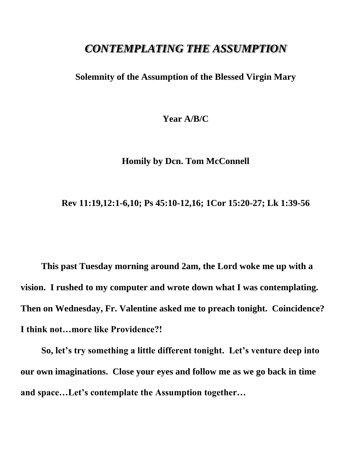## *CONTEMPLATING THE ASSUMPTION*

**Solemnity of the Assumption of the Blessed Virgin Mary**

**Year A/B/C**

**Homily by Dcn. Tom McConnell**

**Rev 11:19,12:1-6,10; Ps 45:10-12,16; 1Cor 15:20-27; Lk 1:39-56**

**This past Tuesday morning around 2am, the Lord woke me up with a vision. I rushed to my computer and wrote down what I was contemplating. Then on Wednesday, Fr. Valentine asked me to preach tonight. Coincidence? I think not…more like Providence?!**

**So, let's try something a little different tonight. Let's venture deep into our own imaginations. Close your eyes and follow me as we go back in time and space…Let's contemplate the Assumption together…**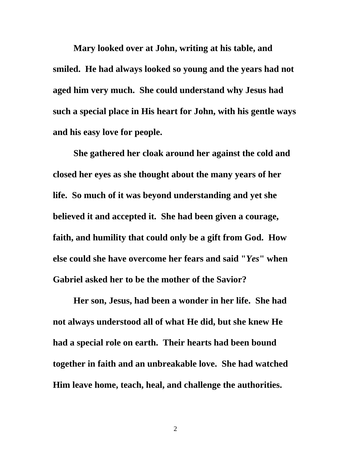**Mary looked over at John, writing at his table, and smiled. He had always looked so young and the years had not aged him very much. She could understand why Jesus had such a special place in His heart for John, with his gentle ways and his easy love for people.**

**She gathered her cloak around her against the cold and closed her eyes as she thought about the many years of her life. So much of it was beyond understanding and yet she believed it and accepted it. She had been given a courage, faith, and humility that could only be a gift from God. How else could she have overcome her fears and said "***Yes***" when Gabriel asked her to be the mother of the Savior?**

**Her son, Jesus, had been a wonder in her life. She had not always understood all of what He did, but she knew He had a special role on earth. Their hearts had been bound together in faith and an unbreakable love. She had watched Him leave home, teach, heal, and challenge the authorities.** 

2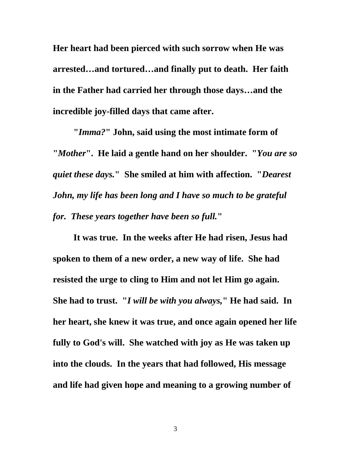**Her heart had been pierced with such sorrow when He was arrested…and tortured…and finally put to death. Her faith in the Father had carried her through those days…and the incredible joy-filled days that came after.**

**"***Imma?***" John, said using the most intimate form of "***Mother***". He laid a gentle hand on her shoulder. "***You are so quiet these days.***" She smiled at him with affection. "***Dearest John, my life has been long and I have so much to be grateful for. These years together have been so full.***"**

**It was true. In the weeks after He had risen, Jesus had spoken to them of a new order, a new way of life. She had resisted the urge to cling to Him and not let Him go again. She had to trust. "***I will be with you always,***" He had said. In her heart, she knew it was true, and once again opened her life fully to God's will. She watched with joy as He was taken up into the clouds. In the years that had followed, His message and life had given hope and meaning to a growing number of** 

3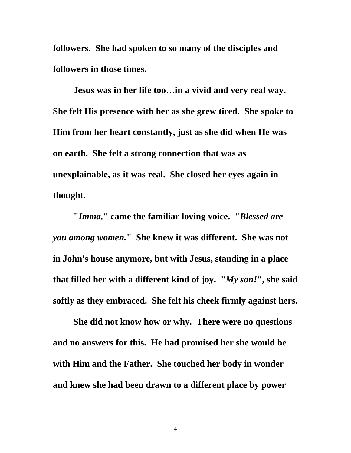**followers. She had spoken to so many of the disciples and followers in those times.**

**Jesus was in her life too…in a vivid and very real way. She felt His presence with her as she grew tired. She spoke to Him from her heart constantly, just as she did when He was on earth. She felt a strong connection that was as unexplainable, as it was real. She closed her eyes again in thought.**

**"***Imma,***" came the familiar loving voice. "***Blessed are you among women.***" She knew it was different. She was not in John's house anymore, but with Jesus, standing in a place that filled her with a different kind of joy. "***My son!***" , she said softly as they embraced. She felt his cheek firmly against hers.**

**She did not know how or why. There were no questions and no answers for this. He had promised her she would be with Him and the Father. She touched her body in wonder and knew she had been drawn to a different place by power**